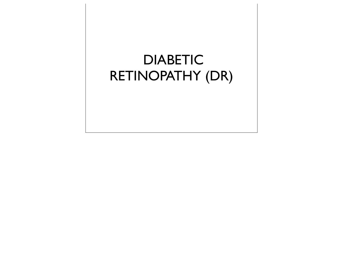# DIABETIC RETINOPATHY (DR)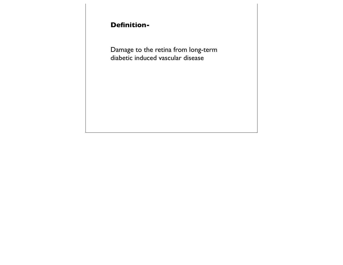## **Definition-**

Damage to the retina from long-term diabetic induced vascular disease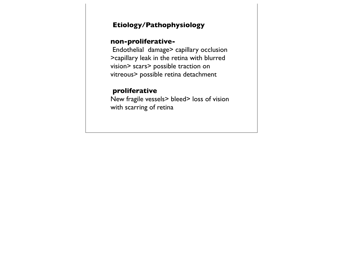### **Etiology/Pathophysiology**

#### **non-proliferative-**

 Endothelial damage> capillary occlusion >capillary leak in the retina with blurred vision> scars> possible traction on vitreous> possible retina detachment

### **proliferative**

New fragile vessels> bleed> loss of vision with scarring of retina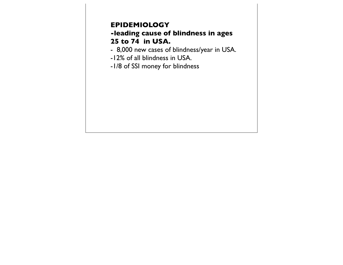## **EPIDEMIOLOGY**

## **-leading cause of blindness in ages 25 to 74 in USA.**

- 8,000 new cases of blindness/year in USA.
- -12% of all blindness in USA.
- -1/8 of SSI money for blindness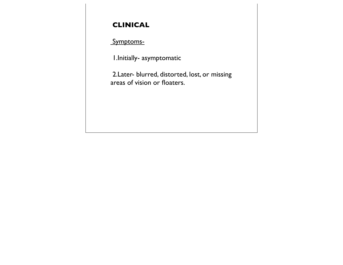## **CLINICAL**

## Symptoms-

1.Initially- asymptomatic

 2.Later- blurred, distorted, lost, or missing areas of vision or floaters.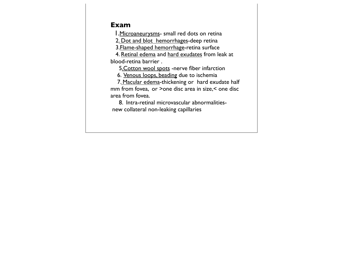#### **Exam**

1. Microaneurysms- small red dots on retina

2. Dot and blot hemorrhages-deep retina

3.Flame-shaped hemorrhage-retina surface

 4. Retinal edema and hard exudates from leak at blood-retina barrier .

5.Cotton wool spots -nerve fiber infarction

6. Venous loops, beading due to ischemia

 7. Macular edema-thickening or hard exudate half mm from fovea, or >one disc area in size,< one disc area from fovea.

 8. Intra-retinal microvascular abnormalities new collateral non-leaking capillaries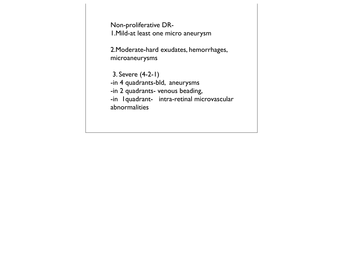Non-proliferative DR-1.Mild-at least one micro aneurysm

2.Moderate-hard exudates, hemorrhages, microaneurysms

 3. Severe (4-2-1) -in 4 quadrants-bld, aneurysms -in 2 quadrants- venous beading, -in 1quadrant- intra-retinal microvascular abnormalities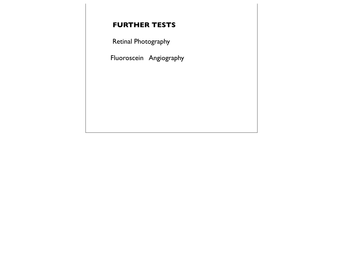## **FURTHER TESTS**

Retinal Photography

Fluoroscein Angiography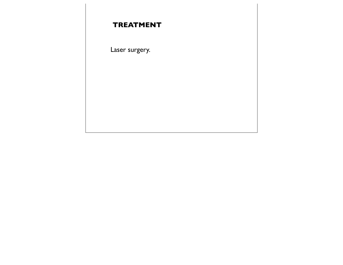## **TREATMENT**

Laser surgery.